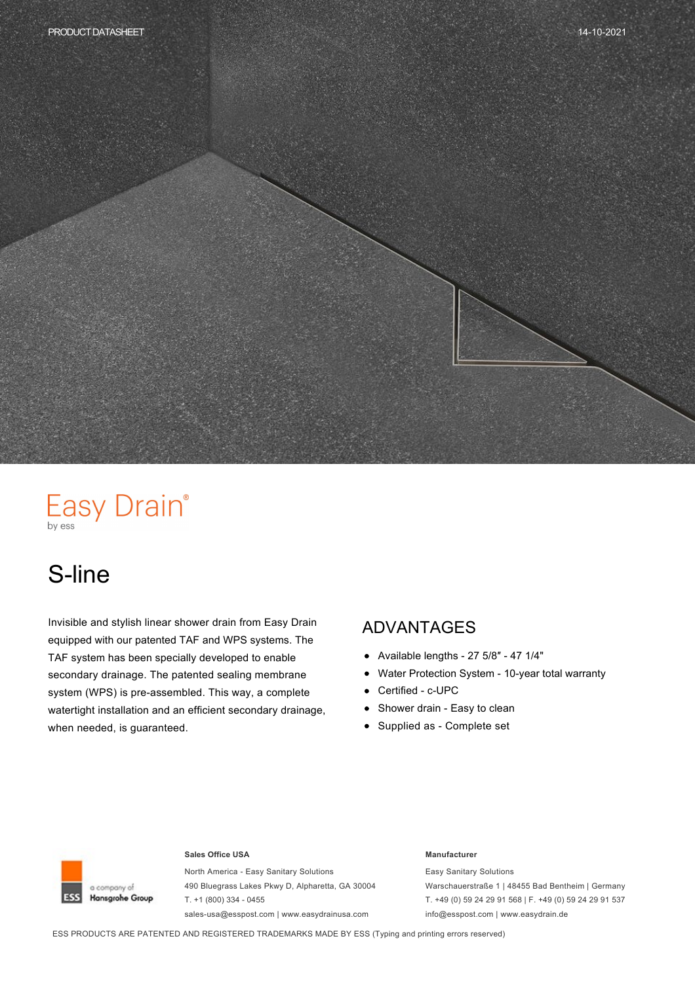# Easy Drain®

# S-line

Invisible and stylish linear shower drain from Easy Drain equipped with our patented TAF and WPS systems. The TAF system has been specially developed to enable secondary drainage. The patented sealing membrane system (WPS) is pre-assembled. This way, a complete watertight installation and an efficient secondary drainage, when needed, is guaranteed.

#### ADVANTAGES

- $\bullet$  Available lengths 27 5/8" 47 1/4"
- Water Protection System 10-year total warranty  $\bullet$
- Certified c-UPC  $\bullet$
- Shower drain Easy to clean  $\bullet$
- Supplied as Complete set



#### **Sales Office USA Manufacturer**

North America - Easy Sanitary Solutions 490 Bluegrass Lakes Pkwy D, Alpharetta, GA 30004  $T. +1 (800) 334 - 0455$ sales-usa@esspost.com | www.easydrainusa.com

Easy Sanitary Solutions Warschauerstraße 1 | 48455 Bad Bentheim | Germany T. +49 (0) 59 24 29 91 568 | F. +49 (0) 59 24 29 91 537 info@esspost.com | www.easydrain.de

ESS PRODUCTS ARE PATENTED AND REGISTERED TRADEMARKS MADE BY ESS (Typing and printing errors reserved)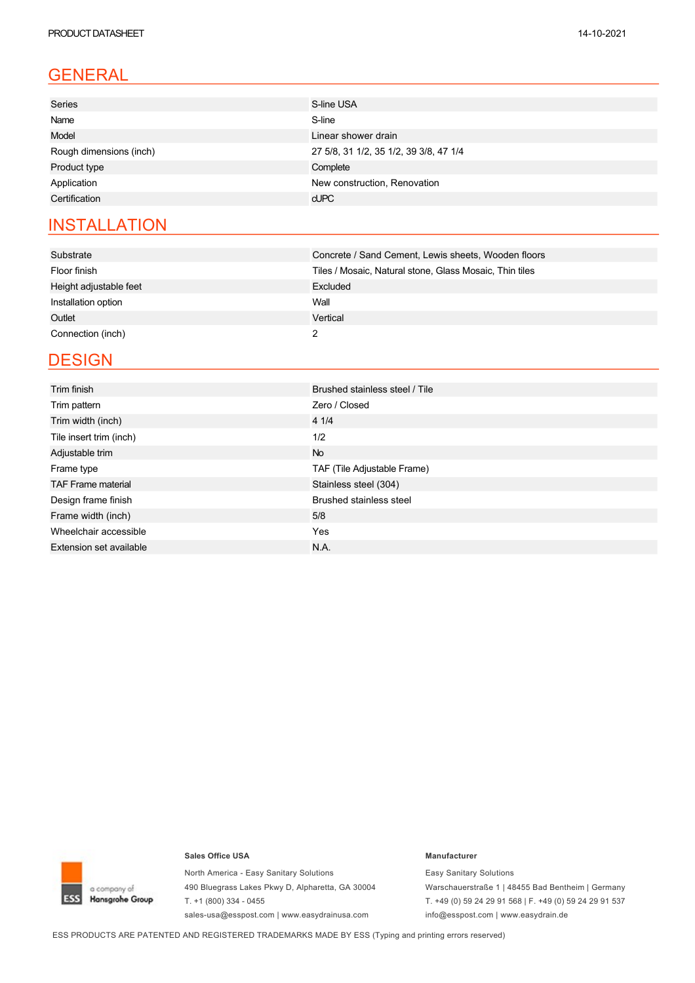### GENERAL

| <b>Series</b>           | S-line USA                             |
|-------------------------|----------------------------------------|
| Name                    | S-line                                 |
| Model                   | Linear shower drain                    |
| Rough dimensions (inch) | 27 5/8, 31 1/2, 35 1/2, 39 3/8, 47 1/4 |
| Product type            | Complete                               |
| Application             | New construction, Renovation           |
| Certification           | $c$ UPC                                |
|                         |                                        |

### **INSTALLATION**

| Substrate              | Concrete / Sand Cement, Lewis sheets, Wooden floors     |
|------------------------|---------------------------------------------------------|
| Floor finish           | Tiles / Mosaic, Natural stone, Glass Mosaic, Thin tiles |
| Height adjustable feet | Excluded                                                |
| Installation option    | Wall                                                    |
| Outlet                 | Vertical                                                |
| Connection (inch)      |                                                         |

### **DESIGN**

| Trim finish                    | Brushed stainless steel / Tile |  |  |  |
|--------------------------------|--------------------------------|--|--|--|
| Trim pattern                   | Zero / Closed                  |  |  |  |
| Trim width (inch)              | 4 1/4                          |  |  |  |
| Tile insert trim (inch)        | 1/2                            |  |  |  |
| Adjustable trim                | No.                            |  |  |  |
| Frame type                     | TAF (Tile Adjustable Frame)    |  |  |  |
| <b>TAF Frame material</b>      | Stainless steel (304)          |  |  |  |
| Design frame finish            | <b>Brushed stainless steel</b> |  |  |  |
| Frame width (inch)             | 5/8                            |  |  |  |
| Wheelchair accessible          | Yes                            |  |  |  |
| <b>Extension set available</b> | N.A.                           |  |  |  |



#### **Sales Office USA Manufacturer**

North America - Easy Sanitary Solutions 490 Bluegrass Lakes Pkwy D, Alpharetta, GA 30004 T.  $+1$  (800) 334 - 0455 sales-usa@esspost.com | www.easydrainusa.com

Easy Sanitary Solutions Warschauerstraße 1 | 48455 Bad Bentheim | Germany T. +49 (0) 59 24 29 91 568 | F. +49 (0) 59 24 29 91 537 info@esspost.com | www.easydrain.de

ESS PRODUCTS ARE PATENTED AND REGISTERED TRADEMARKS MADE BY ESS (Typing and printing errors reserved)